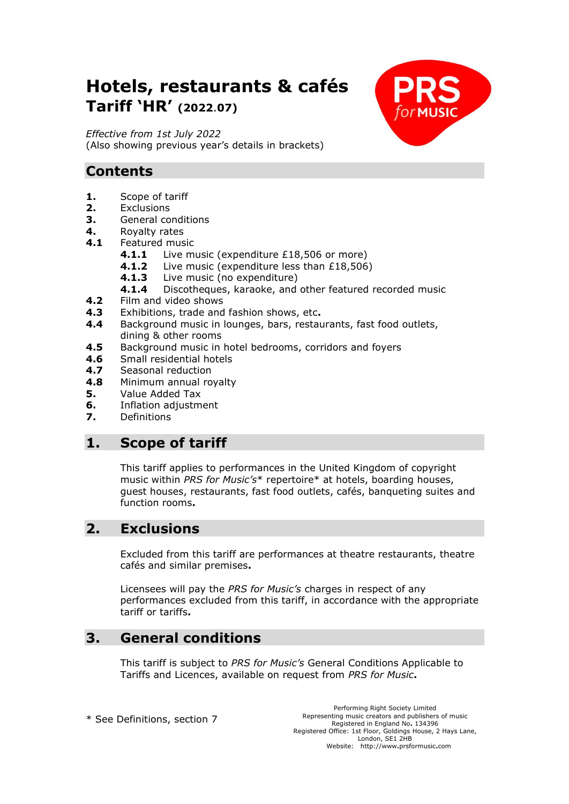# **Hotels, restaurants & cafés Tariff 'HR' (2022**.**07)**

*Effective from 1st July 2022* (Also showing previous year's details in brackets)

# **Contents**

- **1.** Scope of tariff
- **2.** Exclusions
- **3.** General conditions
- **4.** Royalty rates
- **4.1** Featured music
	- **4.1.1** Live music (expenditure £18,506 or more)
	- **4.1.2** Live music (expenditure less than £18,506)
		- **4.1.3** Live music (no expenditure)
		- **4.1.4** Discotheques, karaoke, and other featured recorded music
- **4.2** Film and video shows
- **4.3** Exhibitions, trade and fashion shows, etc**.**
- **4.4** Background music in lounges, bars, restaurants, fast food outlets, dining & other rooms
- **4.5** Background music in hotel bedrooms, corridors and foyers
- **4.6** Small residential hotels
- **4.7** Seasonal reduction
- **4.8** Minimum annual royalty
- **5.** Value Added Tax
- **6.** Inflation adjustment
- **7.** Definitions

### **1. Scope of tariff**

This tariff applies to performances in the United Kingdom of copyright music within *PRS for Music's*\* repertoire\* at hotels, boarding houses, guest houses, restaurants, fast food outlets, cafés, banqueting suites and function rooms**.**

### **2. Exclusions**

Excluded from this tariff are performances at theatre restaurants, theatre cafés and similar premises**.**

Licensees will pay the *PRS for Music's* charges in respect of any performances excluded from this tariff, in accordance with the appropriate tariff or tariffs**.**

### **3. General conditions**

This tariff is subject to *PRS for Music's* General Conditions Applicable to Tariffs and Licences, available on request from *PRS for Music***.**

\* See Definitions, section 7

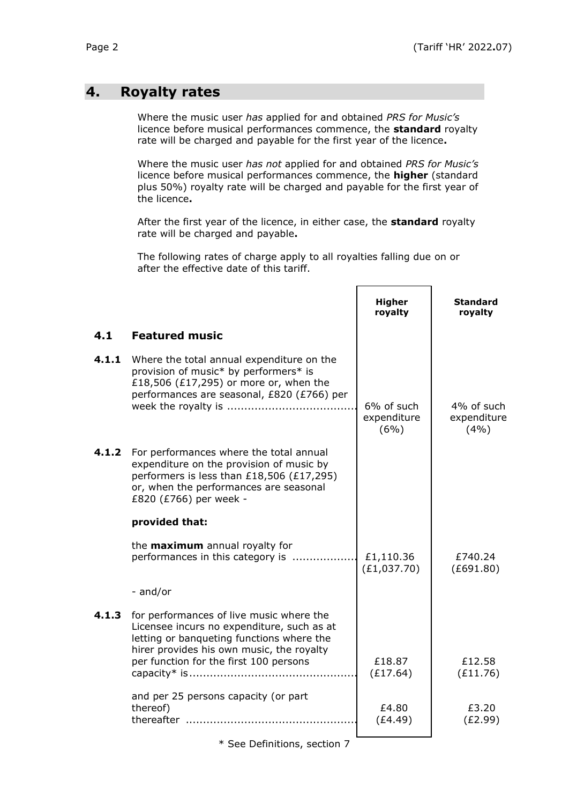### **4. Royalty rates**

Where the music user *has* applied for and obtained *PRS for Music's* licence before musical performances commence, the **standard** royalty rate will be charged and payable for the first year of the licence**.**

Where the music user *has not* applied for and obtained *PRS for Music's* licence before musical performances commence, the **higher** (standard plus 50%) royalty rate will be charged and payable for the first year of the licence**.**

After the first year of the licence, in either case, the **standard** royalty rate will be charged and payable**.**

The following rates of charge apply to all royalties falling due on or after the effective date of this tariff.

|       |                                                                                                                                                                                                                            | <b>Higher</b><br>royalty          | <b>Standard</b><br>royalty        |
|-------|----------------------------------------------------------------------------------------------------------------------------------------------------------------------------------------------------------------------------|-----------------------------------|-----------------------------------|
| 4.1   | <b>Featured music</b>                                                                                                                                                                                                      |                                   |                                   |
| 4.1.1 | Where the total annual expenditure on the<br>provision of music* by performers* is<br>£18,506 (£17,295) or more or, when the<br>performances are seasonal, £820 (£766) per                                                 | 6% of such<br>expenditure<br>(6%) | 4% of such<br>expenditure<br>(4%) |
| 4.1.2 | For performances where the total annual<br>expenditure on the provision of music by<br>performers is less than £18,506 (£17,295)<br>or, when the performances are seasonal<br>£820 (£766) per week -                       |                                   |                                   |
|       | provided that:                                                                                                                                                                                                             |                                   |                                   |
|       | the <b>maximum</b> annual royalty for<br>performances in this category is                                                                                                                                                  | £1,110.36<br>(E1, 037.70)         | £740.24<br>(E691.80)              |
|       | - and/or                                                                                                                                                                                                                   |                                   |                                   |
| 4.1.3 | for performances of live music where the<br>Licensee incurs no expenditure, such as at<br>letting or banqueting functions where the<br>hirer provides his own music, the royalty<br>per function for the first 100 persons | £18.87                            | £12.58                            |
|       |                                                                                                                                                                                                                            | (E17.64)                          | (E11.76)                          |
|       | and per 25 persons capacity (or part<br>thereof)                                                                                                                                                                           | £4.80<br>(E4.49)                  | £3.20<br>(E2.99)                  |

\* See Definitions, section 7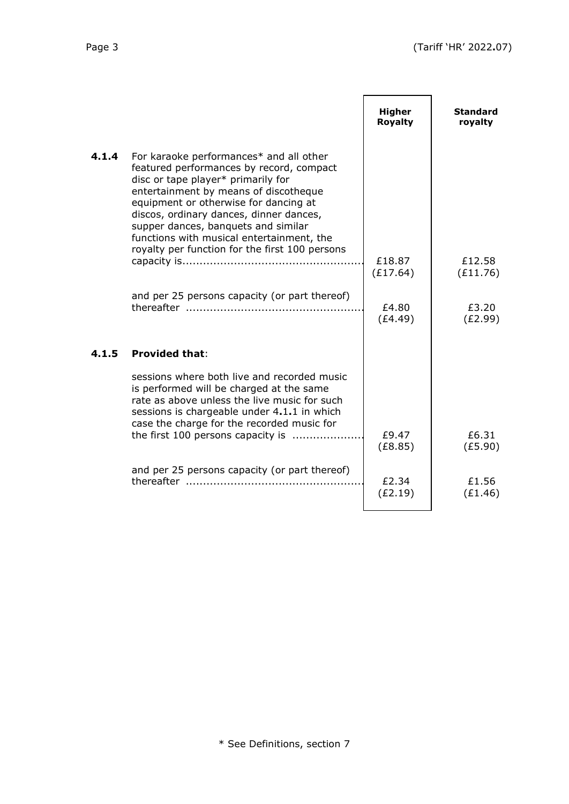|       |                                                                                                                                                                                                                                                                                                                                                                                              | <b>Higher</b><br>Royalty | <b>Standard</b><br>royalty |
|-------|----------------------------------------------------------------------------------------------------------------------------------------------------------------------------------------------------------------------------------------------------------------------------------------------------------------------------------------------------------------------------------------------|--------------------------|----------------------------|
| 4.1.4 | For karaoke performances* and all other<br>featured performances by record, compact<br>disc or tape player* primarily for<br>entertainment by means of discotheque<br>equipment or otherwise for dancing at<br>discos, ordinary dances, dinner dances,<br>supper dances, banquets and similar<br>functions with musical entertainment, the<br>royalty per function for the first 100 persons |                          |                            |
|       |                                                                                                                                                                                                                                                                                                                                                                                              | £18.87<br>(E17.64)       | £12.58<br>(E11.76)         |
|       | and per 25 persons capacity (or part thereof)                                                                                                                                                                                                                                                                                                                                                | £4.80<br>(E4.49)         | £3.20<br>(E2.99)           |
| 4.1.5 | <b>Provided that:</b>                                                                                                                                                                                                                                                                                                                                                                        |                          |                            |
|       | sessions where both live and recorded music<br>is performed will be charged at the same<br>rate as above unless the live music for such<br>sessions is chargeable under 4.1.1 in which<br>case the charge for the recorded music for                                                                                                                                                         |                          |                            |
|       | the first 100 persons capacity is                                                                                                                                                                                                                                                                                                                                                            | £9.47<br>(E8.85)         | £6.31<br>(E5.90)           |
|       | and per 25 persons capacity (or part thereof)                                                                                                                                                                                                                                                                                                                                                | £2.34<br>(E2.19)         | £1.56<br>(E1.46)           |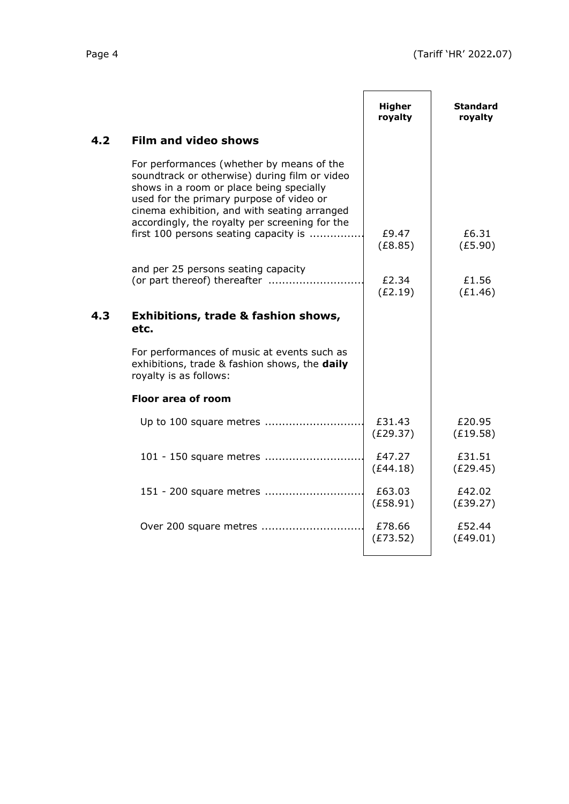| ٠ |
|---|
|---|

|     |                                                                                                                                                                                                                                                                                                                               | <b>Higher</b><br>royalty | Standard<br>royalty |
|-----|-------------------------------------------------------------------------------------------------------------------------------------------------------------------------------------------------------------------------------------------------------------------------------------------------------------------------------|--------------------------|---------------------|
| 4.2 | <b>Film and video shows</b>                                                                                                                                                                                                                                                                                                   |                          |                     |
|     | For performances (whether by means of the<br>soundtrack or otherwise) during film or video<br>shows in a room or place being specially<br>used for the primary purpose of video or<br>cinema exhibition, and with seating arranged<br>accordingly, the royalty per screening for the<br>first 100 persons seating capacity is | £9.47<br>(E8.85)         | £6.31<br>(E5.90)    |
|     | and per 25 persons seating capacity                                                                                                                                                                                                                                                                                           | £2.34<br>(E2.19)         | £1.56<br>(E1.46)    |
| 4.3 | <b>Exhibitions, trade &amp; fashion shows,</b><br>etc.                                                                                                                                                                                                                                                                        |                          |                     |
|     | For performances of music at events such as<br>exhibitions, trade & fashion shows, the daily<br>royalty is as follows:                                                                                                                                                                                                        |                          |                     |
|     | Floor area of room                                                                                                                                                                                                                                                                                                            |                          |                     |
|     | Up to 100 square metres                                                                                                                                                                                                                                                                                                       | £31.43<br>(E29.37)       | £20.95<br>(E19.58)  |
|     | 101 - 150 square metres                                                                                                                                                                                                                                                                                                       | £47.27<br>(E44.18)       | £31.51<br>(E29.45)  |
|     | 151 - 200 square metres                                                                                                                                                                                                                                                                                                       | £63.03<br>(E58.91)       | £42.02<br>(E39.27)  |
|     | Over 200 square metres                                                                                                                                                                                                                                                                                                        | £78.66<br>(E73.52)       | £52.44<br>(E49.01)  |
|     |                                                                                                                                                                                                                                                                                                                               |                          |                     |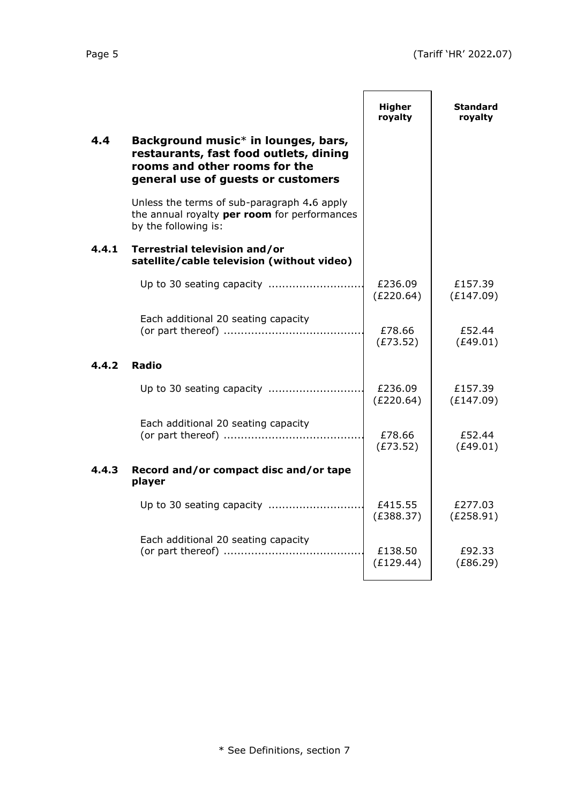|       |                                                                                                                                                                  | <b>Higher</b><br>royalty | <b>Standard</b><br>royalty |
|-------|------------------------------------------------------------------------------------------------------------------------------------------------------------------|--------------------------|----------------------------|
| 4.4   | Background music <sup>*</sup> in lounges, bars,<br>restaurants, fast food outlets, dining<br>rooms and other rooms for the<br>general use of guests or customers |                          |                            |
|       | Unless the terms of sub-paragraph 4.6 apply<br>the annual royalty per room for performances<br>by the following is:                                              |                          |                            |
| 4.4.1 | Terrestrial television and/or<br>satellite/cable television (without video)                                                                                      |                          |                            |
|       | Up to 30 seating capacity                                                                                                                                        | £236.09<br>(E220.64)     | £157.39<br>(E147.09)       |
|       | Each additional 20 seating capacity                                                                                                                              | £78.66<br>(E73.52)       | £52.44<br>(E49.01)         |
| 4.4.2 | <b>Radio</b>                                                                                                                                                     |                          |                            |
|       |                                                                                                                                                                  | £236.09<br>(E220.64)     | £157.39<br>(E147.09)       |
|       | Each additional 20 seating capacity                                                                                                                              | £78.66<br>(E73.52)       | £52.44<br>(E49.01)         |
| 4.4.3 | Record and/or compact disc and/or tape<br>player                                                                                                                 |                          |                            |
|       |                                                                                                                                                                  | £415.55<br>(E388.37)     | £277.03<br>(E258.91)       |
|       | Each additional 20 seating capacity                                                                                                                              | £138.50<br>(E129.44)     | £92.33<br>(E86.29)         |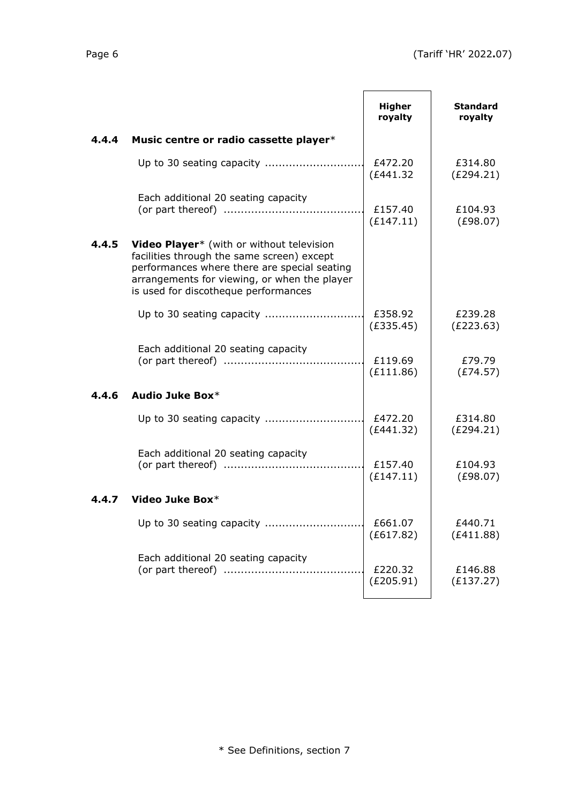|       |                                                                                                                                                                                                                                 | <b>Higher</b><br>royalty | <b>Standard</b><br>royalty |
|-------|---------------------------------------------------------------------------------------------------------------------------------------------------------------------------------------------------------------------------------|--------------------------|----------------------------|
| 4.4.4 | Music centre or radio cassette player*                                                                                                                                                                                          |                          |                            |
|       |                                                                                                                                                                                                                                 | £472.20<br>(E441.32)     | £314.80<br>(E294.21)       |
|       | Each additional 20 seating capacity                                                                                                                                                                                             | £157.40<br>(E147.11)     | £104.93<br>(E98.07)        |
| 4.4.5 | Video Player* (with or without television<br>facilities through the same screen) except<br>performances where there are special seating<br>arrangements for viewing, or when the player<br>is used for discotheque performances |                          |                            |
|       |                                                                                                                                                                                                                                 | £358.92<br>(E335.45)     | £239.28<br>(E223.63)       |
|       | Each additional 20 seating capacity                                                                                                                                                                                             | £119.69<br>(E111.86)     | £79.79<br>(E74.57)         |
| 4.4.6 | Audio Juke Box*                                                                                                                                                                                                                 |                          |                            |
|       |                                                                                                                                                                                                                                 | £472.20<br>(E441.32)     | £314.80<br>(E294.21)       |
|       | Each additional 20 seating capacity                                                                                                                                                                                             | £157.40<br>(E147.11)     | £104.93<br>(E98.07)        |
| 4.4.7 | Video Juke Box*                                                                                                                                                                                                                 |                          |                            |
|       | Up to 30 seating capacity                                                                                                                                                                                                       | £661.07<br>(E617.82)     | £440.71<br>(E411.88)       |
|       | Each additional 20 seating capacity                                                                                                                                                                                             | £220.32<br>(E205.91)     | £146.88<br>(E137.27)       |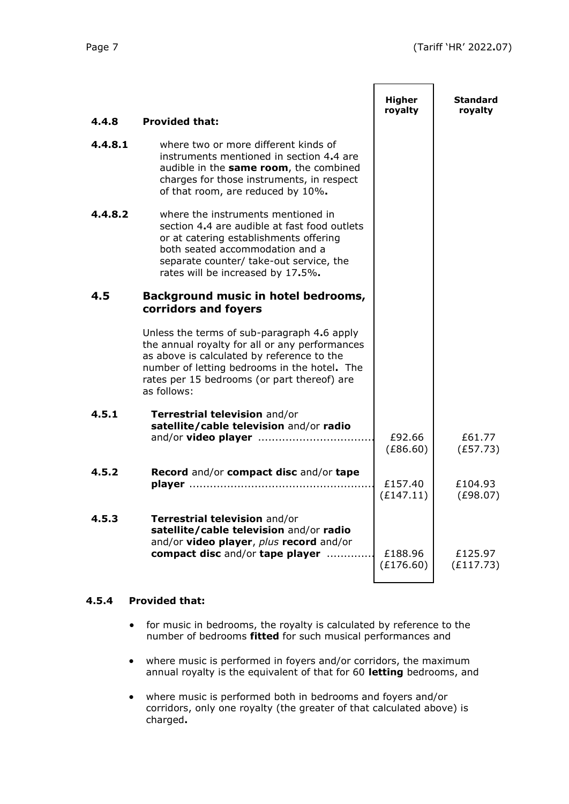|         |                                                                                                                                                                                                                                                           | <b>Higher</b>        | <b>Standard</b>      |
|---------|-----------------------------------------------------------------------------------------------------------------------------------------------------------------------------------------------------------------------------------------------------------|----------------------|----------------------|
| 4.4.8   | <b>Provided that:</b>                                                                                                                                                                                                                                     | royalty              | royalty              |
| 4.4.8.1 | where two or more different kinds of<br>instruments mentioned in section 4.4 are<br>audible in the same room, the combined<br>charges for those instruments, in respect<br>of that room, are reduced by 10%.                                              |                      |                      |
| 4.4.8.2 | where the instruments mentioned in<br>section 4.4 are audible at fast food outlets<br>or at catering establishments offering<br>both seated accommodation and a<br>separate counter/ take-out service, the<br>rates will be increased by 17.5%.           |                      |                      |
| 4.5     | Background music in hotel bedrooms,<br>corridors and foyers                                                                                                                                                                                               |                      |                      |
|         | Unless the terms of sub-paragraph 4.6 apply<br>the annual royalty for all or any performances<br>as above is calculated by reference to the<br>number of letting bedrooms in the hotel. The<br>rates per 15 bedrooms (or part thereof) are<br>as follows: |                      |                      |
| 4.5.1   | Terrestrial television and/or<br>satellite/cable television and/or radio                                                                                                                                                                                  | £92.66<br>(E86.60)   | £61.77<br>(E57.73)   |
| 4.5.2   | Record and/or compact disc and/or tape                                                                                                                                                                                                                    | £157.40<br>(E147.11) | £104.93<br>(E98.07)  |
| 4.5.3   | Terrestrial television and/or<br>satellite/cable television and/or radio<br>and/or video player, plus record and/or<br>compact disc and/or tape player                                                                                                    | £188.96<br>(E176.60) | £125.97<br>(E117.73) |

#### **4.5.4 Provided that:**

- for music in bedrooms, the royalty is calculated by reference to the number of bedrooms **fitted** for such musical performances and
- where music is performed in foyers and/or corridors, the maximum annual royalty is the equivalent of that for 60 **letting** bedrooms, and
- where music is performed both in bedrooms and foyers and/or corridors, only one royalty (the greater of that calculated above) is charged**.**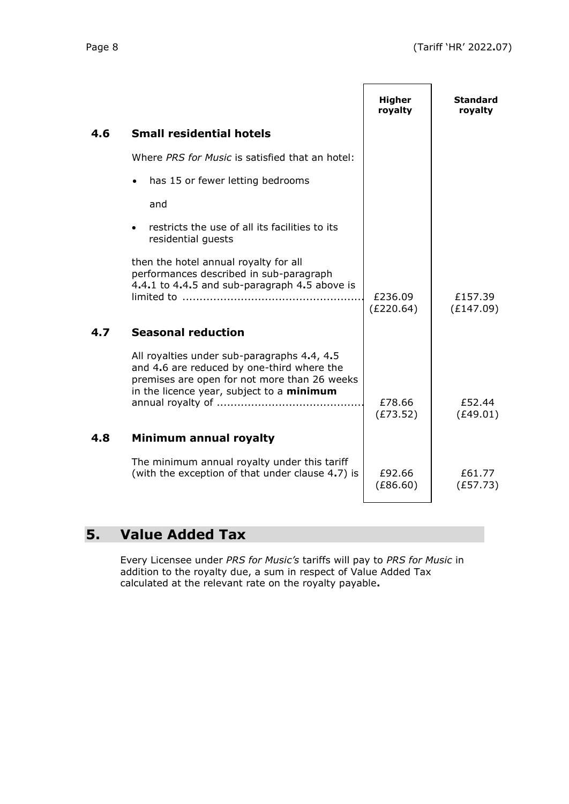|     |                                                                                                                                                                                        | <b>Higher</b><br>royalty | Standard<br>royalty  |
|-----|----------------------------------------------------------------------------------------------------------------------------------------------------------------------------------------|--------------------------|----------------------|
| 4.6 | <b>Small residential hotels</b>                                                                                                                                                        |                          |                      |
|     | Where PRS for Music is satisfied that an hotel:                                                                                                                                        |                          |                      |
|     | has 15 or fewer letting bedrooms                                                                                                                                                       |                          |                      |
|     | and                                                                                                                                                                                    |                          |                      |
|     | restricts the use of all its facilities to its<br>residential guests                                                                                                                   |                          |                      |
|     | then the hotel annual royalty for all<br>performances described in sub-paragraph<br>4.4.1 to 4.4.5 and sub-paragraph 4.5 above is                                                      | £236.09<br>(E220.64)     | £157.39<br>(E147.09) |
| 4.7 | <b>Seasonal reduction</b>                                                                                                                                                              |                          |                      |
|     | All royalties under sub-paragraphs 4.4, 4.5<br>and 4.6 are reduced by one-third where the<br>premises are open for not more than 26 weeks<br>in the licence year, subject to a minimum | £78.66<br>(E73.52)       | £52.44<br>(E49.01)   |
| 4.8 | Minimum annual royalty                                                                                                                                                                 |                          |                      |
|     | The minimum annual royalty under this tariff<br>(with the exception of that under clause 4.7) is                                                                                       | £92.66<br>(E86.60)       | £61.77<br>(E57.73)   |

# **5. Value Added Tax**

Every Licensee under *PRS for Music's* tariffs will pay to *PRS for Music* in addition to the royalty due, a sum in respect of Value Added Tax calculated at the relevant rate on the royalty payable**.**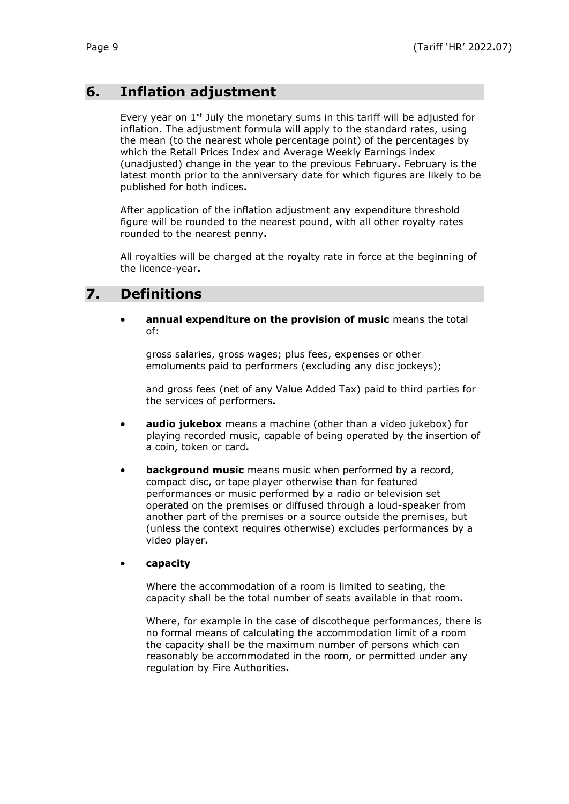# **6. Inflation adjustment**

Every year on  $1<sup>st</sup>$  July the monetary sums in this tariff will be adjusted for inflation. The adjustment formula will apply to the standard rates, using the mean (to the nearest whole percentage point) of the percentages by which the Retail Prices Index and Average Weekly Earnings index (unadjusted) change in the year to the previous February**.** February is the latest month prior to the anniversary date for which figures are likely to be published for both indices**.**

After application of the inflation adjustment any expenditure threshold figure will be rounded to the nearest pound, with all other royalty rates rounded to the nearest penny**.**

All royalties will be charged at the royalty rate in force at the beginning of the licence-year**.**

### **7. Definitions**

• **annual expenditure on the provision of music** means the total of:

gross salaries, gross wages; plus fees, expenses or other emoluments paid to performers (excluding any disc jockeys);

and gross fees (net of any Value Added Tax) paid to third parties for the services of performers**.**

- **audio jukebox** means a machine (other than a video jukebox) for playing recorded music, capable of being operated by the insertion of a coin, token or card**.**
- **background music** means music when performed by a record, compact disc, or tape player otherwise than for featured performances or music performed by a radio or television set operated on the premises or diffused through a loud-speaker from another part of the premises or a source outside the premises, but (unless the context requires otherwise) excludes performances by a video player**.**

#### • **capacity**

Where the accommodation of a room is limited to seating, the capacity shall be the total number of seats available in that room**.**

Where, for example in the case of discotheque performances, there is no formal means of calculating the accommodation limit of a room the capacity shall be the maximum number of persons which can reasonably be accommodated in the room, or permitted under any regulation by Fire Authorities**.**